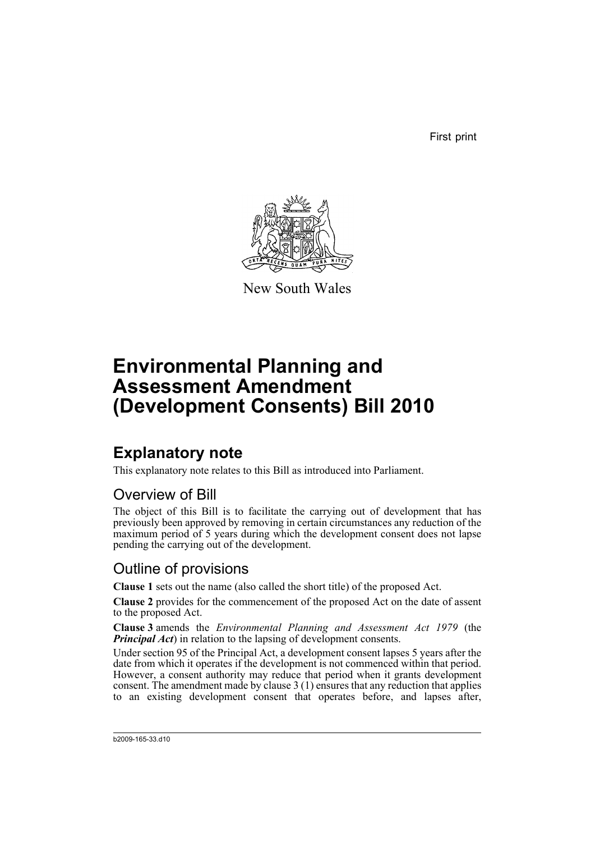First print



New South Wales

# **Environmental Planning and Assessment Amendment (Development Consents) Bill 2010**

## **Explanatory note**

This explanatory note relates to this Bill as introduced into Parliament.

### Overview of Bill

The object of this Bill is to facilitate the carrying out of development that has previously been approved by removing in certain circumstances any reduction of the maximum period of 5 years during which the development consent does not lapse pending the carrying out of the development.

#### Outline of provisions

**Clause 1** sets out the name (also called the short title) of the proposed Act.

**Clause 2** provides for the commencement of the proposed Act on the date of assent to the proposed Act.

**Clause 3** amends the *Environmental Planning and Assessment Act 1979* (the *Principal Act*) in relation to the lapsing of development consents.

Under section 95 of the Principal Act, a development consent lapses 5 years after the date from which it operates if the development is not commenced within that period. However, a consent authority may reduce that period when it grants development consent. The amendment made by clause 3 (1) ensures that any reduction that applies to an existing development consent that operates before, and lapses after,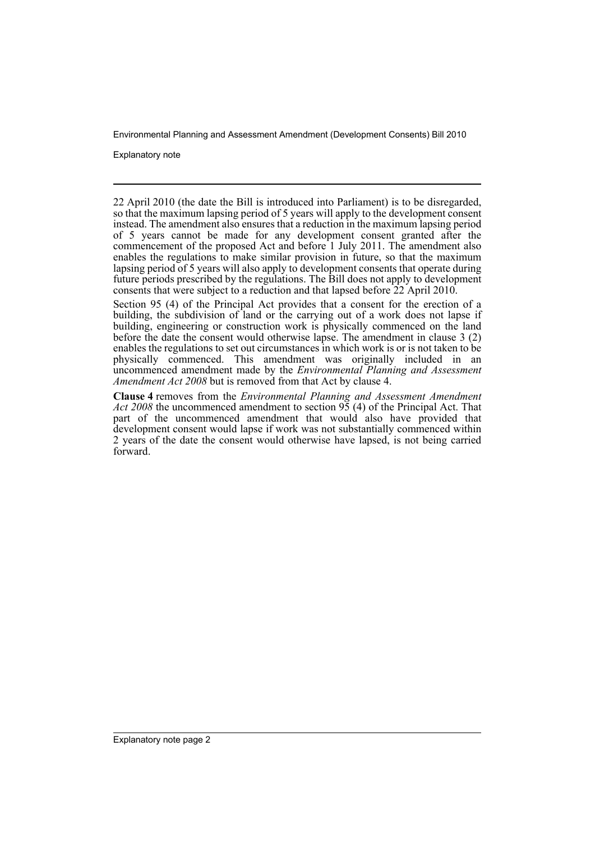Environmental Planning and Assessment Amendment (Development Consents) Bill 2010

Explanatory note

22 April 2010 (the date the Bill is introduced into Parliament) is to be disregarded, so that the maximum lapsing period of 5 years will apply to the development consent instead. The amendment also ensures that a reduction in the maximum lapsing period of 5 years cannot be made for any development consent granted after the commencement of the proposed Act and before 1 July 2011. The amendment also enables the regulations to make similar provision in future, so that the maximum lapsing period of 5 years will also apply to development consents that operate during future periods prescribed by the regulations. The Bill does not apply to development consents that were subject to a reduction and that lapsed before 22 April 2010.

Section 95 (4) of the Principal Act provides that a consent for the erection of a building, the subdivision of land or the carrying out of a work does not lapse if building, engineering or construction work is physically commenced on the land before the date the consent would otherwise lapse. The amendment in clause 3 (2) enables the regulations to set out circumstances in which work is or is not taken to be physically commenced. This amendment was originally included in an uncommenced amendment made by the *Environmental Planning and Assessment Amendment Act 2008* but is removed from that Act by clause 4.

**Clause 4** removes from the *Environmental Planning and Assessment Amendment Act 2008* the uncommenced amendment to section 95 (4) of the Principal Act. That part of the uncommenced amendment that would also have provided that development consent would lapse if work was not substantially commenced within 2 years of the date the consent would otherwise have lapsed, is not being carried forward.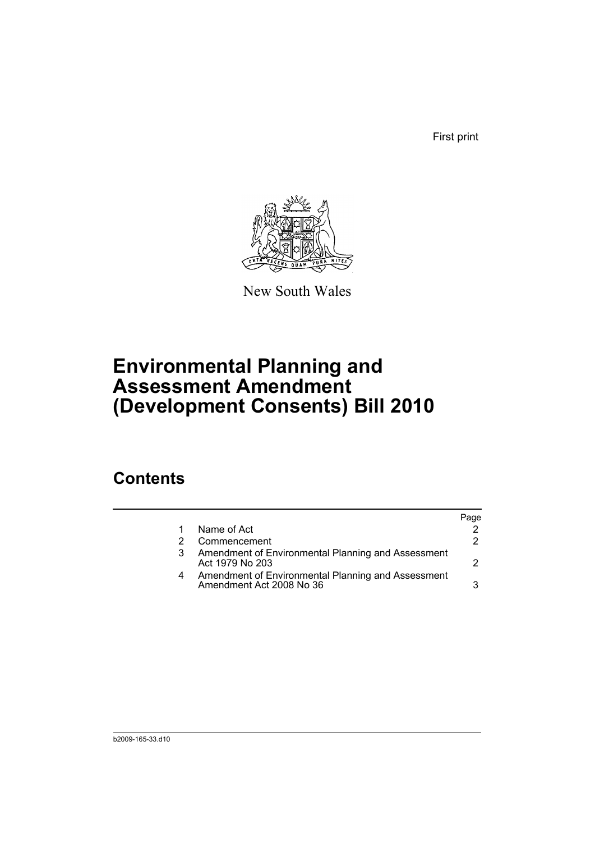First print



New South Wales

# **Environmental Planning and Assessment Amendment (Development Consents) Bill 2010**

## **Contents**

|  | Name of Act                                                                    |    |
|--|--------------------------------------------------------------------------------|----|
|  | Commencement                                                                   | 2. |
|  | Amendment of Environmental Planning and Assessment<br>Act 1979 No 203          |    |
|  | Amendment of Environmental Planning and Assessment<br>Amendment Act 2008 No 36 | વ  |
|  |                                                                                |    |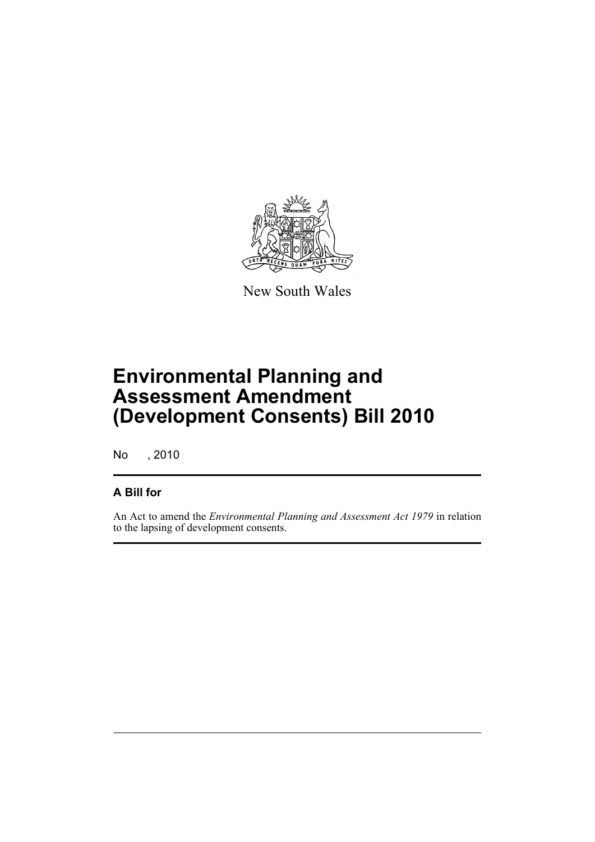

New South Wales

# **Environmental Planning and Assessment Amendment (Development Consents) Bill 2010**

No , 2010

#### **A Bill for**

An Act to amend the *Environmental Planning and Assessment Act 1979* in relation to the lapsing of development consents.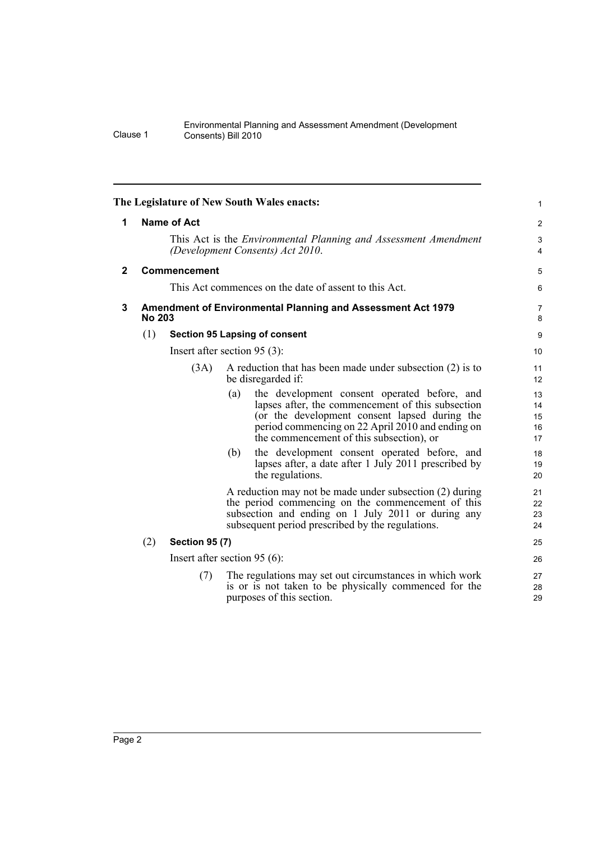#### Environmental Planning and Assessment Amendment (Development Clause 1 Consents) Bill 2010

<span id="page-5-2"></span><span id="page-5-1"></span><span id="page-5-0"></span>

|              |                                                                                                                           |                                      | The Legislature of New South Wales enacts:                                                                                                                                                                                                                | $\mathbf{1}$               |  |  |  |  |
|--------------|---------------------------------------------------------------------------------------------------------------------------|--------------------------------------|-----------------------------------------------------------------------------------------------------------------------------------------------------------------------------------------------------------------------------------------------------------|----------------------------|--|--|--|--|
| 1            | Name of Act<br>This Act is the <i>Environmental Planning and Assessment Amendment</i><br>(Development Consents) Act 2010. |                                      |                                                                                                                                                                                                                                                           |                            |  |  |  |  |
|              |                                                                                                                           |                                      |                                                                                                                                                                                                                                                           |                            |  |  |  |  |
| $\mathbf{2}$ | Commencement                                                                                                              |                                      |                                                                                                                                                                                                                                                           |                            |  |  |  |  |
|              | This Act commences on the date of assent to this Act.                                                                     |                                      |                                                                                                                                                                                                                                                           |                            |  |  |  |  |
| 3            | Amendment of Environmental Planning and Assessment Act 1979<br><b>No 203</b>                                              |                                      |                                                                                                                                                                                                                                                           |                            |  |  |  |  |
|              | (1)                                                                                                                       | <b>Section 95 Lapsing of consent</b> |                                                                                                                                                                                                                                                           |                            |  |  |  |  |
|              |                                                                                                                           |                                      | Insert after section $95(3)$ :                                                                                                                                                                                                                            | 10                         |  |  |  |  |
|              |                                                                                                                           | (3A)                                 | A reduction that has been made under subsection (2) is to<br>be disregarded if:                                                                                                                                                                           | 11<br>12                   |  |  |  |  |
|              |                                                                                                                           |                                      | the development consent operated before, and<br>(a)<br>lapses after, the commencement of this subsection<br>(or the development consent lapsed during the<br>period commencing on 22 April 2010 and ending on<br>the commencement of this subsection), or | 13<br>14<br>15<br>16<br>17 |  |  |  |  |
|              |                                                                                                                           |                                      | the development consent operated before, and<br>(b)<br>lapses after, a date after 1 July 2011 prescribed by<br>the regulations.                                                                                                                           | 18<br>19<br>20             |  |  |  |  |
|              |                                                                                                                           |                                      | A reduction may not be made under subsection (2) during<br>the period commencing on the commencement of this<br>subsection and ending on 1 July 2011 or during any<br>subsequent period prescribed by the regulations.                                    | 21<br>22<br>23<br>24       |  |  |  |  |
|              | (2)                                                                                                                       | <b>Section 95 (7)</b>                | 25                                                                                                                                                                                                                                                        |                            |  |  |  |  |
|              |                                                                                                                           | Insert after section 95 $(6)$ :      |                                                                                                                                                                                                                                                           |                            |  |  |  |  |
|              |                                                                                                                           | (7)                                  | The regulations may set out circumstances in which work<br>is or is not taken to be physically commenced for the<br>purposes of this section.                                                                                                             | 27<br>28<br>29             |  |  |  |  |